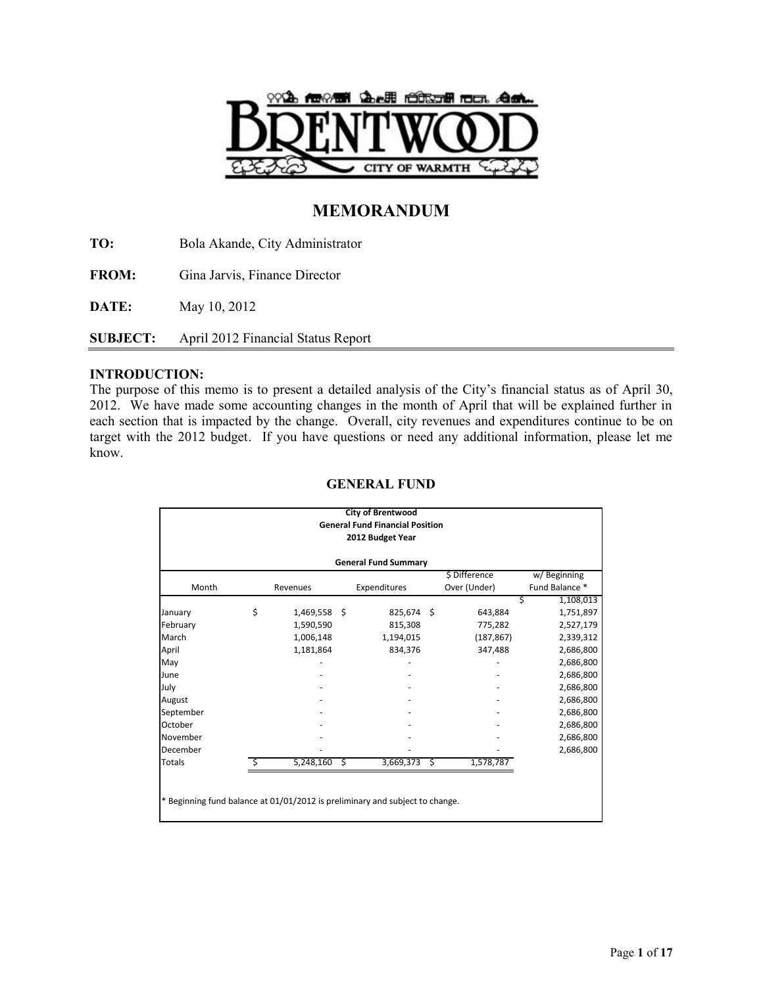

# **MEMORANDUM**

**TO:** Bola Akande, City Administrator

**FROM:** Gina Jarvis, Finance Director

**DATE:** May 10, 2012

**SUBJECT:** April 2012 Financial Status Report

## **INTRODUCTION:**

The purpose of this memo is to present a detailed analysis of the City's financial status as of April 30, 2012. We have made some accounting changes in the month of April that will be explained further in each section that is impacted by the change. Overall, city revenues and expenditures continue to be on target with the 2012 budget. If you have questions or need any additional information, please let me know.

|                             | <b>City of Brentwood</b><br><b>General Fund Financial Position</b><br>2012 Budget Year |           |    |              |      |                               |                               |  |  |  |
|-----------------------------|----------------------------------------------------------------------------------------|-----------|----|--------------|------|-------------------------------|-------------------------------|--|--|--|
| <b>General Fund Summary</b> |                                                                                        |           |    |              |      |                               |                               |  |  |  |
| Month                       |                                                                                        | Revenues  |    | Expenditures |      | \$ Difference<br>Over (Under) | w/Beginning<br>Fund Balance * |  |  |  |
|                             |                                                                                        |           |    |              |      |                               | 1,108,013<br>S                |  |  |  |
| January                     | \$                                                                                     | 1,469,558 | \$ | 825,674      | - \$ | 643,884                       | 1,751,897                     |  |  |  |
| February                    |                                                                                        | 1,590,590 |    | 815,308      |      | 775,282                       | 2,527,179                     |  |  |  |
| March                       |                                                                                        | 1,006,148 |    | 1,194,015    |      | (187, 867)                    | 2,339,312                     |  |  |  |
| April                       |                                                                                        | 1,181,864 |    | 834,376      |      | 347,488                       | 2,686,800                     |  |  |  |
| May                         |                                                                                        |           |    |              |      |                               | 2,686,800                     |  |  |  |
| June                        |                                                                                        |           |    |              |      |                               | 2,686,800                     |  |  |  |
| July                        |                                                                                        |           |    |              |      |                               | 2,686,800                     |  |  |  |
| August                      |                                                                                        |           |    |              |      |                               | 2,686,800                     |  |  |  |
| September                   |                                                                                        |           |    |              |      |                               | 2,686,800                     |  |  |  |
| October                     |                                                                                        |           |    |              |      |                               | 2,686,800                     |  |  |  |
| November                    |                                                                                        |           |    |              |      |                               | 2,686,800                     |  |  |  |
| December                    |                                                                                        |           |    |              |      |                               | 2,686,800                     |  |  |  |
| Totals                      | Ś                                                                                      | 5,248,160 | S  | 3,669,373    | -\$  | 1,578,787                     |                               |  |  |  |

## **GENERAL FUND**

Beginning fund balance at 01/01/2012 is preliminary and subject to change.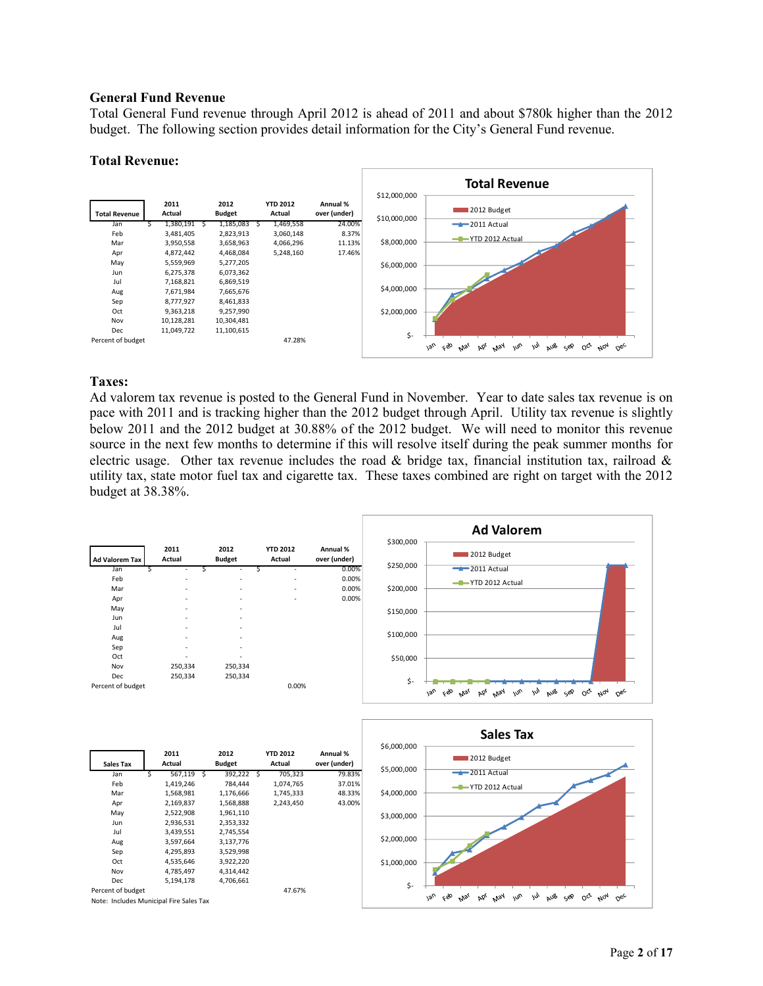#### **General Fund Revenue**

Total General Fund revenue through April 2012 is ahead of 2011 and about \$780k higher than the 2012 budget. The following section provides detail information for the City's General Fund revenue.

#### **Total Revenue:**



## **Taxes:**

Ad valorem tax revenue is posted to the General Fund in November. Year to date sales tax revenue is on pace with 2011 and is tracking higher than the 2012 budget through April. Utility tax revenue is slightly below 2011 and the 2012 budget at 30.88% of the 2012 budget. We will need to monitor this revenue source in the next few months to determine if this will resolve itself during the peak summer months for electric usage. Other tax revenue includes the road  $\&$  bridge tax, financial institution tax, railroad  $\&$ utility tax, state motor fuel tax and cigarette tax. These taxes combined are right on target with the 2012 budget at 38.38%.

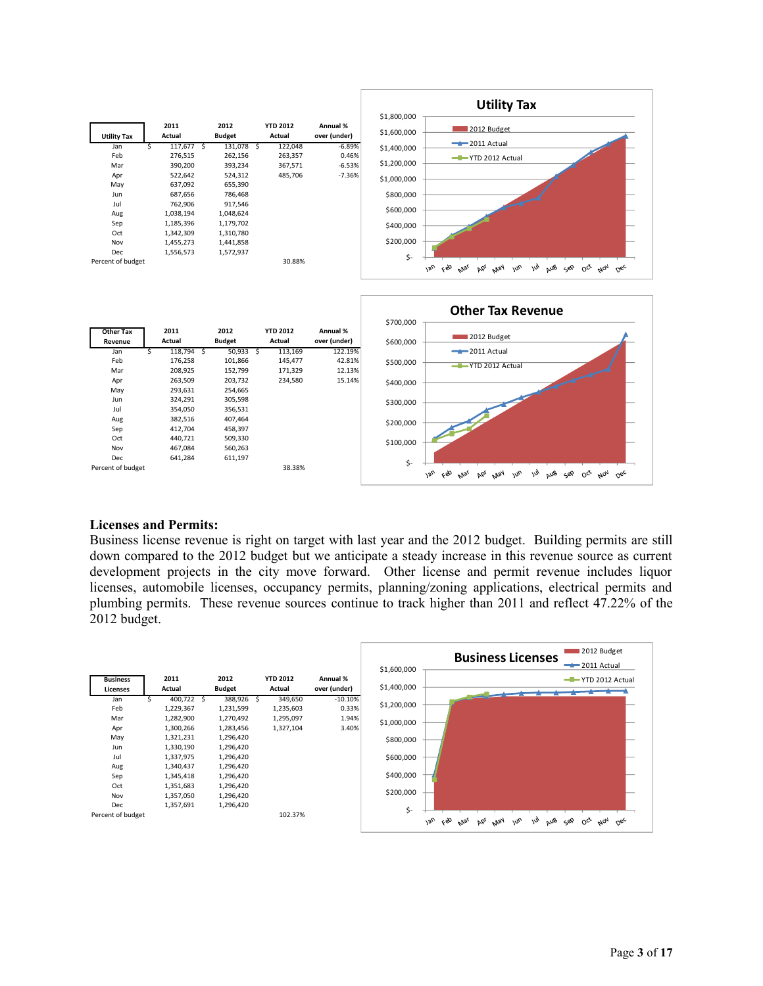

#### **Licenses and Permits:**

Dec 641,284

Percent of budget 38.38%

Business license revenue is right on target with last year and the 2012 budget. Building permits are still down compared to the 2012 budget but we anticipate a steady increase in this revenue source as current development projects in the city move forward. Other license and permit revenue includes liquor licenses, automobile licenses, occupancy permits, planning/zoning applications, electrical permits and plumbing permits. These revenue sources continue to track higher than 2011 and reflect 47.22% of the 2012 budget.

\$-

lan feb Mar kbi May Inn

Jul Aus sep oct Nov Dec

|                                                             |                                                                                                                 |                                                                                                                 |                                                |                                       | 2012 Budget<br><b>Business Licenses</b>                                                                                                                             |
|-------------------------------------------------------------|-----------------------------------------------------------------------------------------------------------------|-----------------------------------------------------------------------------------------------------------------|------------------------------------------------|---------------------------------------|---------------------------------------------------------------------------------------------------------------------------------------------------------------------|
|                                                             |                                                                                                                 |                                                                                                                 |                                                |                                       | $-2011$ Actual<br>\$1,600,000                                                                                                                                       |
| <b>Business</b><br><b>Licenses</b>                          | 2011<br>Actual                                                                                                  | 2012<br><b>Budget</b>                                                                                           | <b>YTD 2012</b><br>Actual                      | Annual %<br>over (under)              | -T-YTD 2012 Actual<br>\$1,400,000                                                                                                                                   |
| Jan<br>Feb<br>Mar<br>Apr<br>May<br>Jun<br>Jul<br>Aug<br>Sep | 400,722<br>1,229,367<br>1,282,900<br>1,300,266<br>1,321,231<br>1,330,190<br>1,337,975<br>1,340,437<br>1,345,418 | 388,926<br>1,231,599<br>1,270,492<br>1,283,456<br>1,296,420<br>1,296,420<br>1,296,420<br>1,296,420<br>1,296,420 | 349,650<br>1,235,603<br>1,295,097<br>1,327,104 | $-10.10\%$<br>0.33%<br>1.94%<br>3.40% | \$1,200,000<br>\$1,000,000<br>\$800,000<br>\$600,000<br>\$400,000                                                                                                   |
| Oct<br>Nov<br>Dec<br>Percent of budget                      | 1,351,683<br>1,357,050<br>1,357,691                                                                             | 1,296,420<br>1,296,420<br>1,296,420                                                                             | 102.37%                                        |                                       | \$200,000<br>\$-<br>$\omega$<br>çèo<br>18 <sub>U</sub><br>w <sub>U</sub><br>aus<br>$O_{Q'}$ $M_{Q_1}$<br>$0e^{\mathcal{C}}$<br>bb <sub>l</sub><br>May<br>Mar<br>ح⊗ی |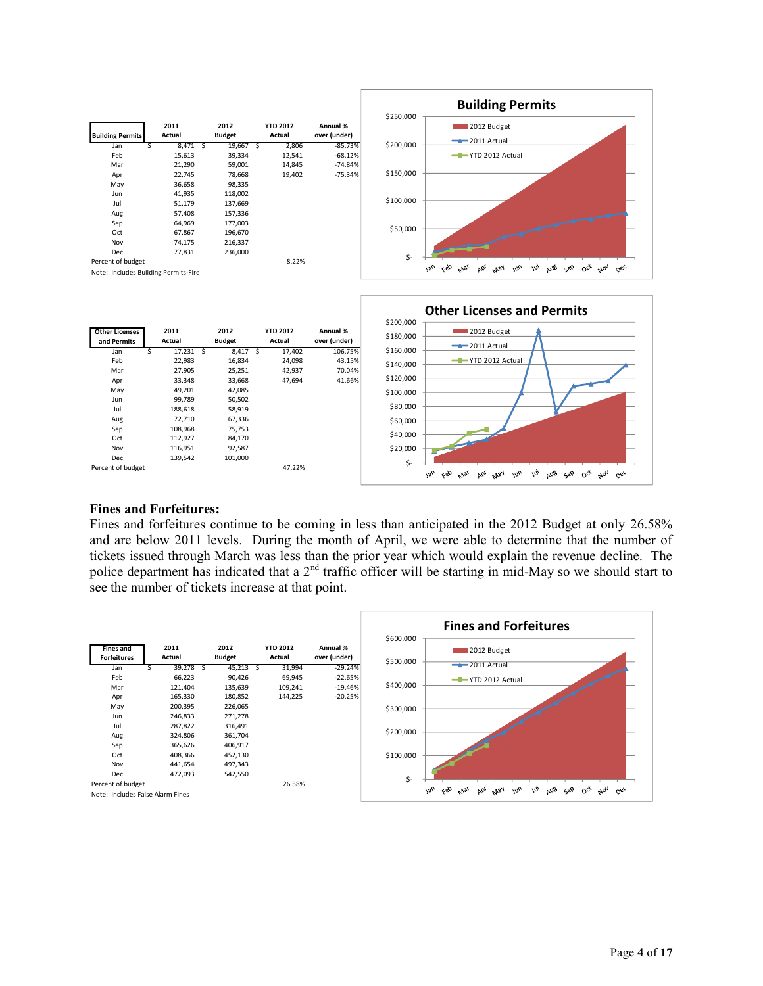

|                   |             |            |        |         |           | -ZUII ACLUdI                                                                                                                          |
|-------------------|-------------|------------|--------|---------|-----------|---------------------------------------------------------------------------------------------------------------------------------------|
| Jan               | 17,231<br>S | $8,417$ \$ | 17,402 | 106.75% | \$160,000 |                                                                                                                                       |
| Feb               | 22,983      | 16,834     | 24,098 | 43.15%  | \$140,000 | YTD 2012 Actual                                                                                                                       |
| Mar               | 27,905      | 25,251     | 42,937 | 70.04%  |           |                                                                                                                                       |
| Apr               | 33,348      | 33,668     | 47,694 | 41.66%  | \$120,000 |                                                                                                                                       |
| May               | 49,201      | 42,085     |        |         | \$100,000 |                                                                                                                                       |
| Jun               | 99,789      | 50,502     |        |         |           |                                                                                                                                       |
| Jul               | 188,618     | 58,919     |        |         | \$80,000  |                                                                                                                                       |
| Aug               | 72,710      | 67,336     |        |         | \$60,000  |                                                                                                                                       |
| Sep               | 108,968     | 75,753     |        |         |           |                                                                                                                                       |
| Oct               | 112,927     | 84,170     |        |         | \$40,000  |                                                                                                                                       |
| Nov               | 116,951     | 92,587     |        |         | \$20,000  |                                                                                                                                       |
| <b>Dec</b>        | 139,542     | 101,000    |        |         | \$-       |                                                                                                                                       |
| Percent of budget |             |            | 47.22% |         |           | $\omega$<br>13 <sub>U</sub><br>ceo<br>alla<br>$w^{\circ}$<br>$O_{c}$<br>دو⊘<br><b>May</b><br>∩∝<br>$A_{07}$<br>Mar<br>bb <sub>l</sub> |
|                   |             |            |        |         |           |                                                                                                                                       |

#### **Fines and Forfeitures:**

Fines and forfeitures continue to be coming in less than anticipated in the 2012 Budget at only 26.58% and are below 2011 levels. During the month of April, we were able to determine that the number of tickets issued through March was less than the prior year which would explain the revenue decline. The police department has indicated that a 2<sup>nd</sup> traffic officer will be starting in mid-May so we should start to see the number of tickets increase at that point.

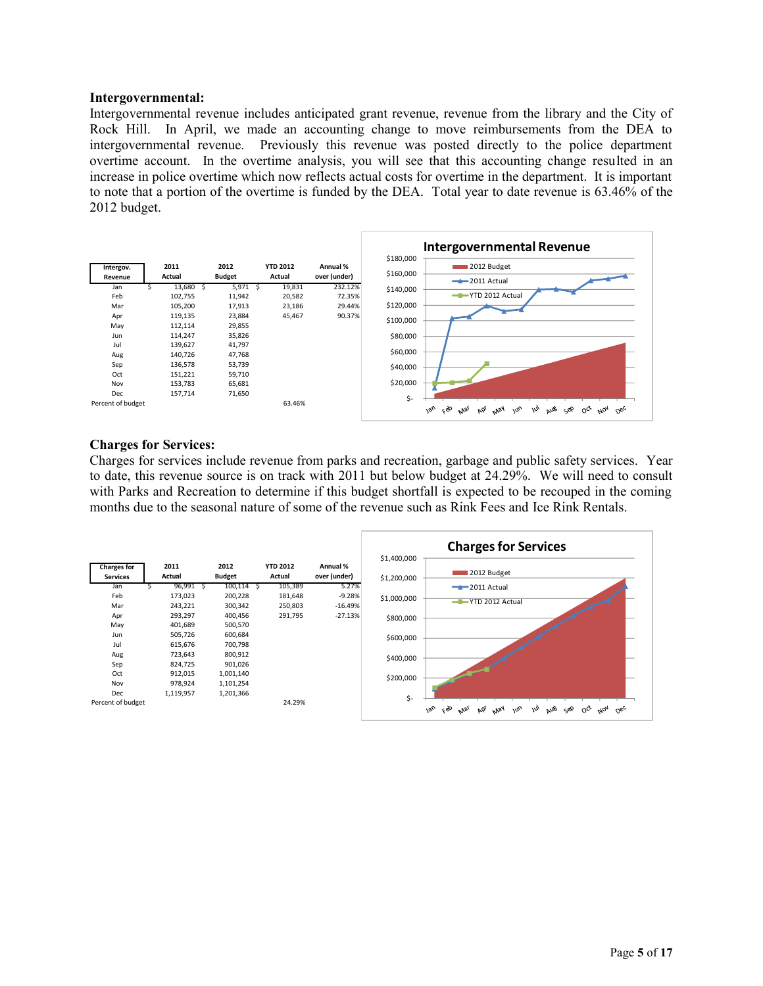#### **Intergovernmental:**

Intergovernmental revenue includes anticipated grant revenue, revenue from the library and the City of Rock Hill. In April, we made an accounting change to move reimbursements from the DEA to intergovernmental revenue. Previously this revenue was posted directly to the police department overtime account. In the overtime analysis, you will see that this accounting change resulted in an increase in police overtime which now reflects actual costs for overtime in the department. It is important to note that a portion of the overtime is funded by the DEA. Total year to date revenue is 63.46% of the 2012 budget.



#### **Charges for Services:**

Charges for services include revenue from parks and recreation, garbage and public safety services. Year to date, this revenue source is on track with 2011 but below budget at 24.29%. We will need to consult with Parks and Recreation to determine if this budget shortfall is expected to be recouped in the coming months due to the seasonal nature of some of the revenue such as Rink Fees and Ice Rink Rentals.

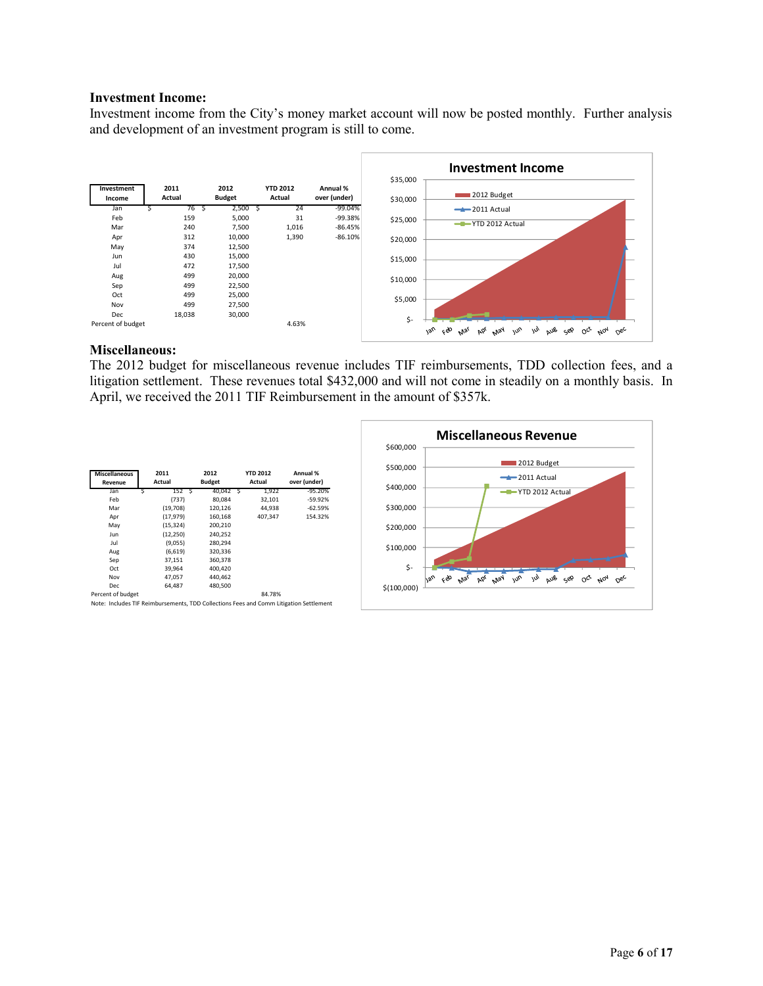#### **Investment Income:**

Investment income from the City's money market account will now be posted monthly. Further analysis and development of an investment program is still to come.



#### **Miscellaneous:**

The 2012 budget for miscellaneous revenue includes TIF reimbursements, TDD collection fees, and a litigation settlement. These revenues total \$432,000 and will not come in steadily on a monthly basis. In April, we received the 2011 TIF Reimbursement in the amount of \$357k.

| <b>Miscellaneous</b><br>Revenue | 2011<br>Actual | 2012<br><b>Budget</b> | <b>YTD 2012</b><br>Actual |         | Annual %<br>over (under) |
|---------------------------------|----------------|-----------------------|---------------------------|---------|--------------------------|
| Jan                             | 152S           | 40.042 S              |                           | 1.922   | $-95.20%$                |
| Feb                             | (737)          | 80.084                |                           | 32.101  | $-59.92%$                |
| Mar                             | (19,708)       | 120,126               |                           | 44.938  | $-62.59%$                |
| Apr                             | (17, 979)      | 160,168               |                           | 407.347 | 154.32%                  |
| May                             | (15.324)       | 200.210               |                           |         |                          |
| Jun                             | (12, 250)      | 240.252               |                           |         |                          |
| Jul                             | (9,055)        | 280.294               |                           |         |                          |
| Aug                             | (6,619)        | 320,336               |                           |         |                          |
| Sep                             | 37,151         | 360,378               |                           |         |                          |
| Oct                             | 39.964         | 400.420               |                           |         |                          |
| Nov                             | 47,057         | 440.462               |                           |         |                          |
| <b>Dec</b>                      | 64.487         | 480.500               |                           |         |                          |
| Percent of budget               |                |                       |                           | 84.78%  |                          |

Note: Includes TIF Reimbursements, TDD Collections Fees and Comm Litigation Settlement

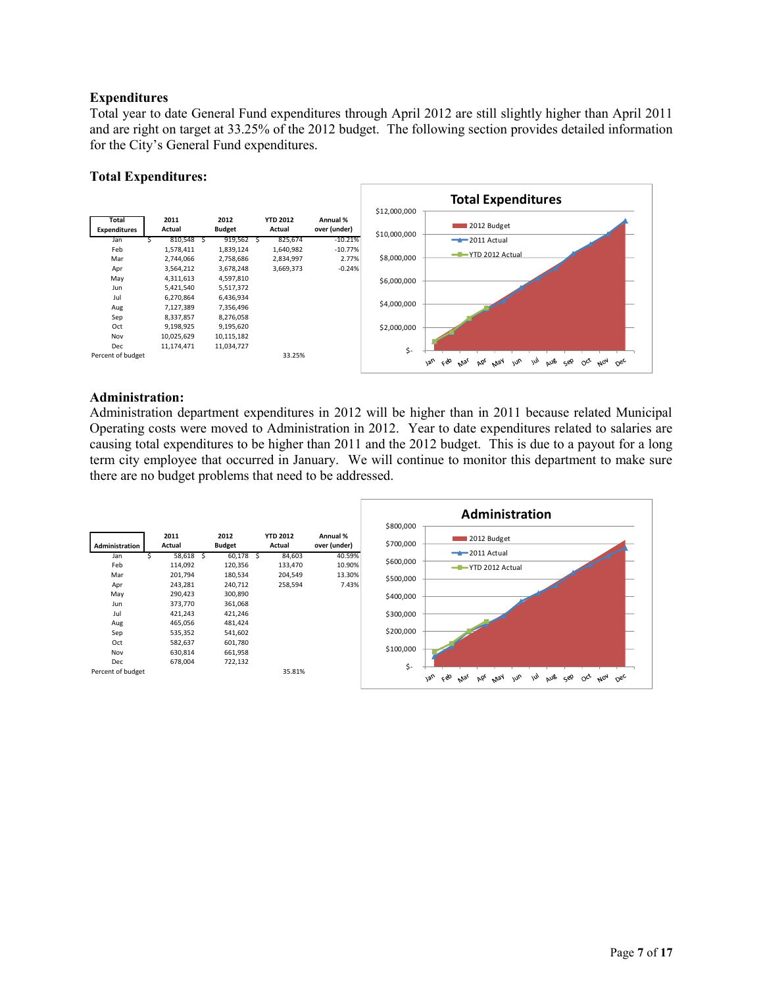## **Expenditures**

Total year to date General Fund expenditures through April 2012 are still slightly higher than April 2011 and are right on target at 33.25% of the 2012 budget. The following section provides detailed information for the City's General Fund expenditures.

### **Total Expenditures:**



## **Administration:**

Administration department expenditures in 2012 will be higher than in 2011 because related Municipal Operating costs were moved to Administration in 2012. Year to date expenditures related to salaries are causing total expenditures to be higher than 2011 and the 2012 budget. This is due to a payout for a long term city employee that occurred in January. We will continue to monitor this department to make sure there are no budget problems that need to be addressed.

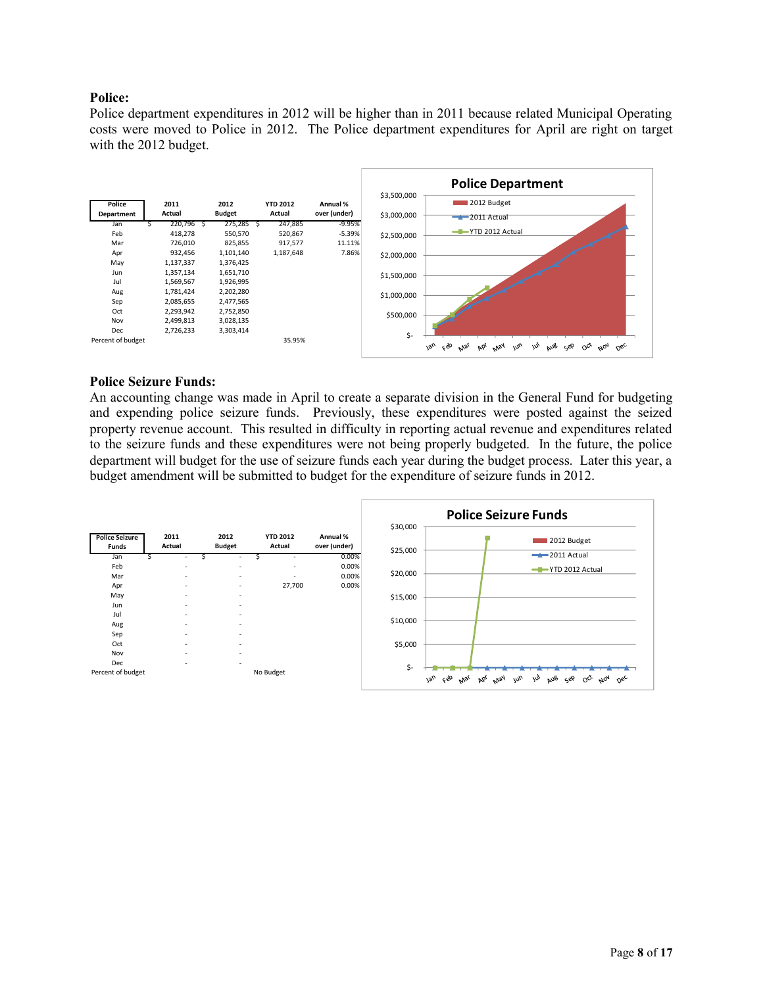## **Police:**

Police department expenditures in 2012 will be higher than in 2011 because related Municipal Operating costs were moved to Police in 2012. The Police department expenditures for April are right on target with the 2012 budget.



#### **Police Seizure Funds:**

An accounting change was made in April to create a separate division in the General Fund for budgeting and expending police seizure funds. Previously, these expenditures were posted against the seized property revenue account. This resulted in difficulty in reporting actual revenue and expenditures related to the seizure funds and these expenditures were not being properly budgeted. In the future, the police department will budget for the use of seizure funds each year during the budget process. Later this year, a budget amendment will be submitted to budget for the expenditure of seizure funds in 2012.

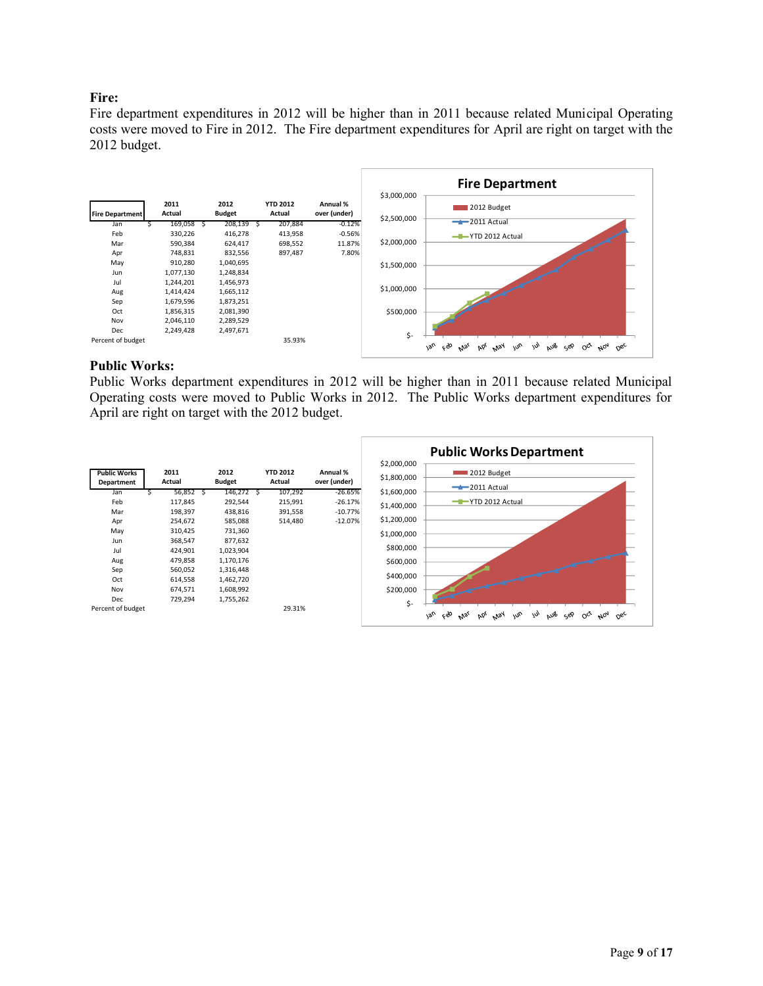## **Fire:**

Fire department expenditures in 2012 will be higher than in 2011 because related Municipal Operating costs were moved to Fire in 2012. The Fire department expenditures for April are right on target with the 2012 budget.



#### **Public Works:**

Public Works department expenditures in 2012 will be higher than in 2011 because related Municipal Operating costs were moved to Public Works in 2012. The Public Works department expenditures for April are right on target with the 2012 budget.

|                                   |                |                       |                           |                          |                            | <b>Public Works Department</b>                                                                                         |
|-----------------------------------|----------------|-----------------------|---------------------------|--------------------------|----------------------------|------------------------------------------------------------------------------------------------------------------------|
| <b>Public Works</b><br>Department | 2011<br>Actual | 2012<br><b>Budget</b> | <b>YTD 2012</b><br>Actual | Annual %<br>over (under) | \$2,000,000<br>\$1,800,000 | 2012 Budget<br>$-2011$ Actual                                                                                          |
| Jan                               | 56,852         | 146,272               | 107,292                   | $-26.65%$                | \$1,600,000                |                                                                                                                        |
| Feb                               | 117,845        | 292,544               | 215,991                   | $-26.17%$                | \$1,400,000                | -T-YTD 2012 Actual                                                                                                     |
| Mar                               | 198,397        | 438,816               | 391,558                   | $-10.77%$                |                            |                                                                                                                        |
| Apr                               | 254,672        | 585,088               | 514,480                   | $-12.07%$                | \$1,200,000                |                                                                                                                        |
| May                               | 310,425        | 731,360               |                           |                          | \$1,000,000                |                                                                                                                        |
| Jun                               | 368,547        | 877,632               |                           |                          |                            |                                                                                                                        |
| Jul                               | 424,901        | 1,023,904             |                           |                          | \$800,000                  |                                                                                                                        |
| Aug                               | 479,858        | 1,170,176             |                           |                          | \$600,000                  |                                                                                                                        |
| Sep                               | 560,052        | 1,316,448             |                           |                          |                            |                                                                                                                        |
| Oct                               | 614,558        | 1,462,720             |                           |                          | \$400,000                  |                                                                                                                        |
| Nov                               | 674,571        | 1,608,992             |                           |                          | \$200,000                  |                                                                                                                        |
| Dec                               | 729,294        | 1,755,262             |                           |                          | \$-                        |                                                                                                                        |
| Percent of budget                 |                |                       | 29.31%                    |                          |                            | ceo<br>$v_{\alpha_U}$<br><b>May</b><br>$\omega_{\nu}$<br>m<br>aus<br>Sep<br>$A_{07}$<br>Þόι<br>$O^{c^k}$<br>Mai<br>nec |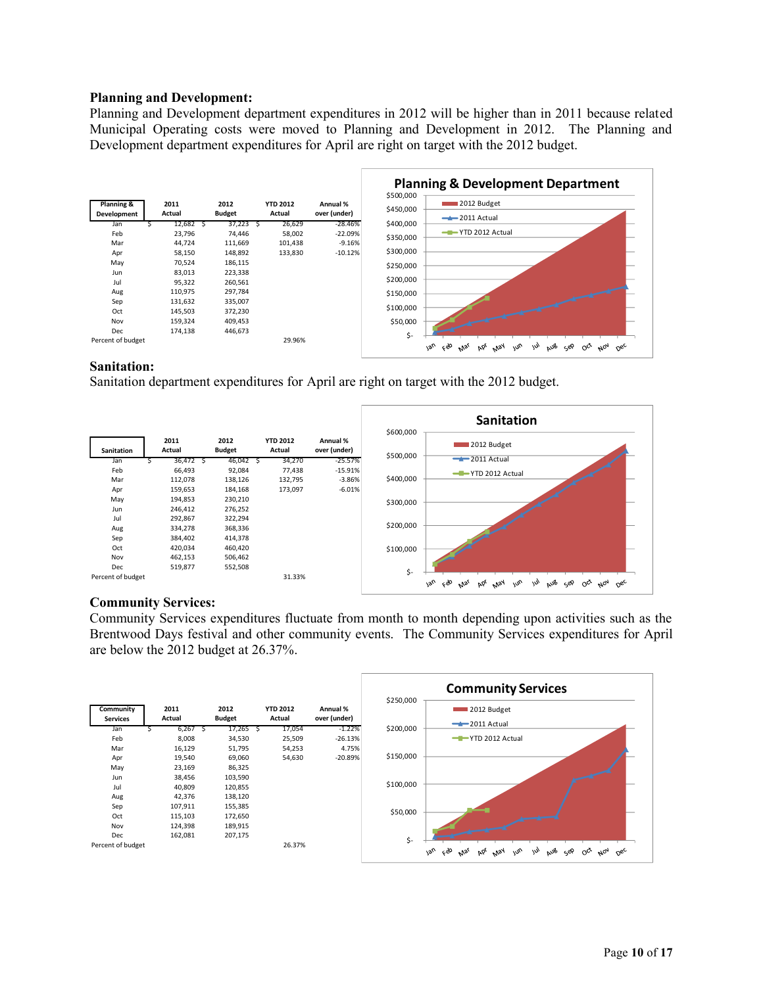#### **Planning and Development:**

Planning and Development department expenditures in 2012 will be higher than in 2011 because related Municipal Operating costs were moved to Planning and Development in 2012. The Planning and Development department expenditures for April are right on target with the 2012 budget.



## **Sanitation:**

Sanitation department expenditures for April are right on target with the 2012 budget.



## **Community Services:**

Community Services expenditures fluctuate from month to month depending upon activities such as the Brentwood Days festival and other community events. The Community Services expenditures for April are below the 2012 budget at 26.37%.

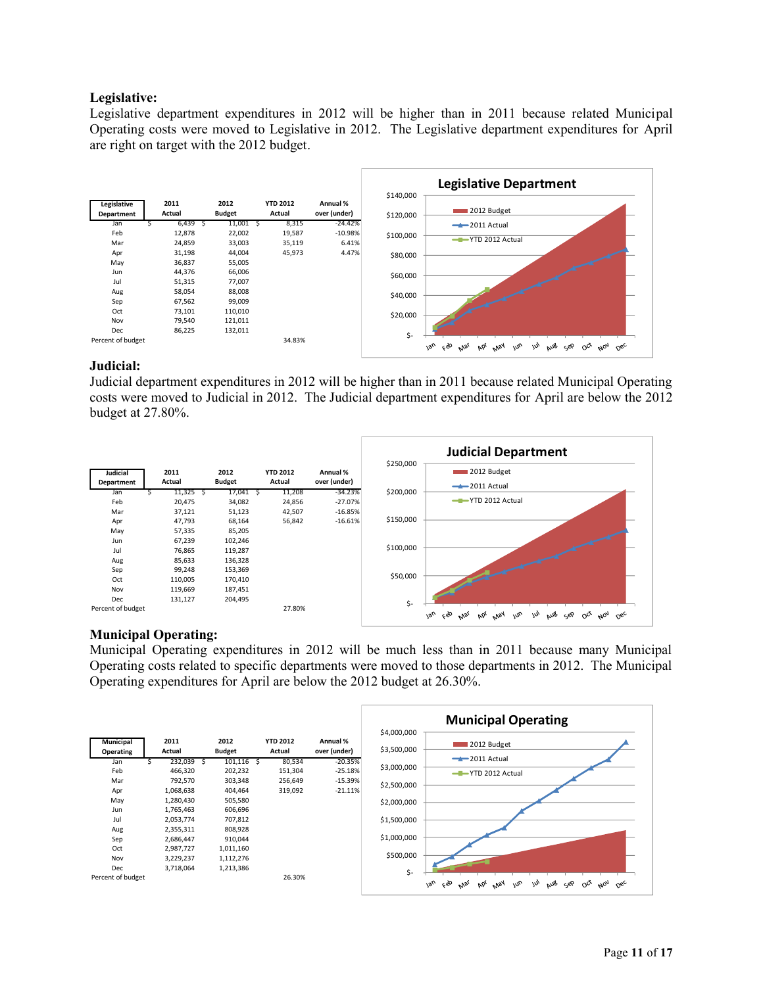## **Legislative:**

Legislative department expenditures in 2012 will be higher than in 2011 because related Municipal Operating costs were moved to Legislative in 2012. The Legislative department expenditures for April are right on target with the 2012 budget.



## **Judicial:**

Judicial department expenditures in 2012 will be higher than in 2011 because related Municipal Operating costs were moved to Judicial in 2012. The Judicial department expenditures for April are below the 2012 budget at 27.80%.



## **Municipal Operating:**

Municipal Operating expenditures in 2012 will be much less than in 2011 because many Municipal Operating costs related to specific departments were moved to those departments in 2012. The Municipal Operating expenditures for April are below the 2012 budget at 26.30%.

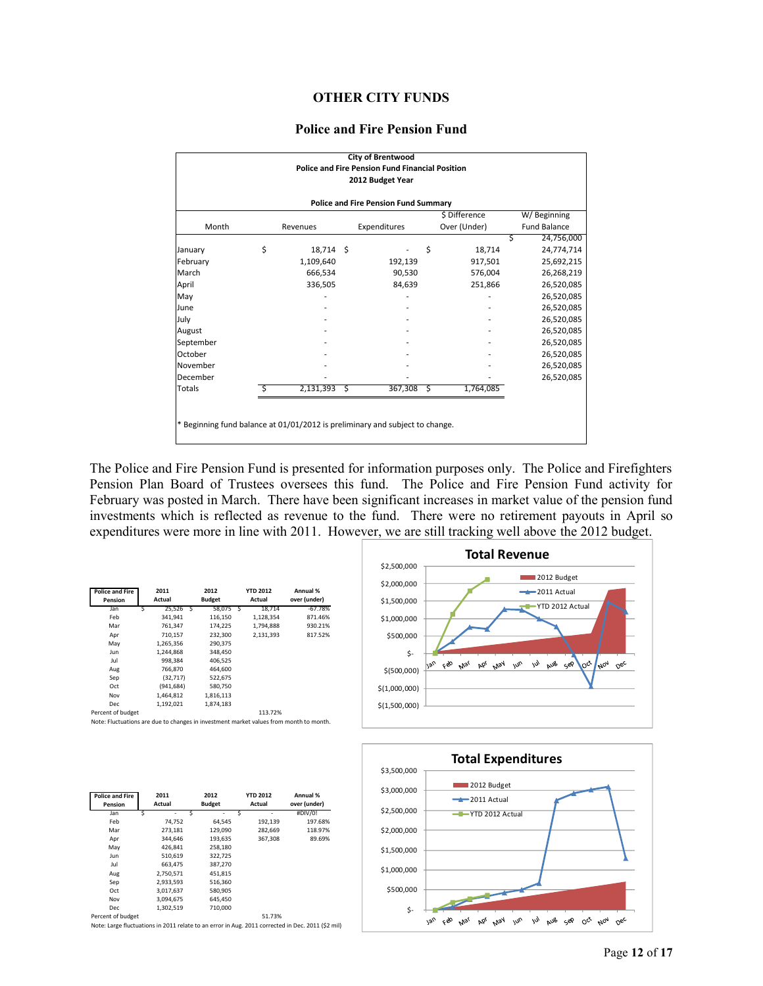## **OTHER CITY FUNDS**

#### **Police and Fire Pension Fund**

|                                                                              |                 |              | <b>City of Brentwood</b>                                                   |    |               |   |                     |  |
|------------------------------------------------------------------------------|-----------------|--------------|----------------------------------------------------------------------------|----|---------------|---|---------------------|--|
|                                                                              |                 |              | <b>Police and Fire Pension Fund Financial Position</b><br>2012 Budget Year |    |               |   |                     |  |
|                                                                              |                 |              |                                                                            |    |               |   |                     |  |
|                                                                              |                 |              | <b>Police and Fire Pension Fund Summary</b>                                |    |               |   |                     |  |
|                                                                              |                 |              |                                                                            |    | \$ Difference |   | W/Beginning         |  |
| Month                                                                        | Revenues        | Expenditures |                                                                            |    | Over (Under)  |   | <b>Fund Balance</b> |  |
|                                                                              |                 |              |                                                                            |    |               | S | 24,756,000          |  |
| January                                                                      | \$<br>18,714 \$ |              |                                                                            | \$ | 18,714        |   | 24,774,714          |  |
| February                                                                     | 1,109,640       |              | 192,139                                                                    |    | 917,501       |   | 25,692,215          |  |
| March                                                                        | 666,534         |              | 90,530                                                                     |    | 576,004       |   | 26,268,219          |  |
| April                                                                        | 336,505         |              | 84,639                                                                     |    | 251,866       |   | 26,520,085          |  |
| May                                                                          |                 |              |                                                                            |    |               |   | 26,520,085          |  |
| June                                                                         |                 |              |                                                                            |    |               |   | 26,520,085          |  |
| July                                                                         |                 |              |                                                                            |    |               |   | 26,520,085          |  |
| August                                                                       |                 |              |                                                                            |    |               |   | 26,520,085          |  |
| September                                                                    |                 |              |                                                                            |    |               |   | 26,520,085          |  |
| October                                                                      |                 |              |                                                                            |    |               |   | 26,520,085          |  |
| November                                                                     |                 |              |                                                                            |    |               |   | 26,520,085          |  |
| December                                                                     |                 |              |                                                                            |    |               |   | 26,520,085          |  |
| Totals                                                                       | 2,131,393       | Ŝ            | 367,308                                                                    | Ŝ  | 1,764,085     |   |                     |  |
|                                                                              |                 |              |                                                                            |    |               |   |                     |  |
|                                                                              |                 |              |                                                                            |    |               |   |                     |  |
| * Beginning fund balance at 01/01/2012 is preliminary and subject to change. |                 |              |                                                                            |    |               |   |                     |  |
|                                                                              |                 |              |                                                                            |    |               |   |                     |  |

The Police and Fire Pension Fund is presented for information purposes only. The Police and Firefighters Pension Plan Board of Trustees oversees this fund. The Police and Fire Pension Fund activity for February was posted in March. There have been significant increases in market value of the pension fund investments which is reflected as revenue to the fund. There were no retirement payouts in April so expenditures were more in line with 2011. However, we are still tracking well above the 2012 budget.

| <b>Police and Fire</b><br>Pension |   | 2011<br>Actual | 2012<br><b>Budget</b> | <b>YTD 2012</b><br>Actual | Annual %<br>over (under) |
|-----------------------------------|---|----------------|-----------------------|---------------------------|--------------------------|
| Jan                               | Ś | $25.526$ S     | 58.075 \$             | 18.714                    | $-67.78%$                |
| Feb                               |   | 341.941        | 116,150               | 1,128,354                 | 871.46%                  |
| Mar                               |   | 761.347        | 174.225               | 1.794.888                 | 930.21%                  |
| Apr                               |   | 710.157        | 232,300               | 2.131.393                 | 817.52%                  |
| May                               |   | 1,265,356      | 290.375               |                           |                          |
| Jun                               |   | 1.244.868      | 348,450               |                           |                          |
| Jul                               |   | 998.384        | 406.525               |                           |                          |
| Aug                               |   | 766.870        | 464.600               |                           |                          |
| Sep                               |   | (32, 717)      | 522,675               |                           |                          |
| Oct                               |   | (941, 684)     | 580,750               |                           |                          |
| Nov                               |   | 1.464.812      | 1,816,113             |                           |                          |
| <b>Dec</b>                        |   | 1.192.021      | 1.874.183             |                           |                          |
| Percent of budget                 |   |                |                       | 113.72%                   |                          |





Note: Fluctuations are due to changes in investment market values from month to month.

| <b>Police and Fire</b><br>Pension | 2011<br>Actual | 2012<br><b>Budget</b> | <b>YTD 2012</b><br>Actual | Annual %<br>over (under) |
|-----------------------------------|----------------|-----------------------|---------------------------|--------------------------|
| Jan                               | ۰              | S<br>۰                | $\overline{\phantom{a}}$  | #DIV/0!                  |
| Feb                               | 74.752         | 64.545                | 192,139                   | 197.68%                  |
| Mar                               | 273,181        | 129.090               | 282,669                   | 118.97%                  |
| Apr                               | 344.646        | 193.635               | 367.308                   | 89.69%                   |
| May                               | 426.841        | 258.180               |                           |                          |
| Jun                               | 510.619        | 322.725               |                           |                          |
| Jul                               | 663,475        | 387.270               |                           |                          |
| Aug                               | 2,750,571      | 451.815               |                           |                          |
| Sep                               | 2,933,593      | 516.360               |                           |                          |
| Oct                               | 3,017,637      | 580,905               |                           |                          |
| Nov                               | 3.094.675      | 645.450               |                           |                          |
| Dec.                              | 1,302,519      | 710.000               |                           |                          |
| Percent of budget                 |                |                       | 51.73%                    |                          |

Note: Large fluctuations in 2011 relate to an error in Aug. 2011 corrected in Dec. 2011 (\$2 mil)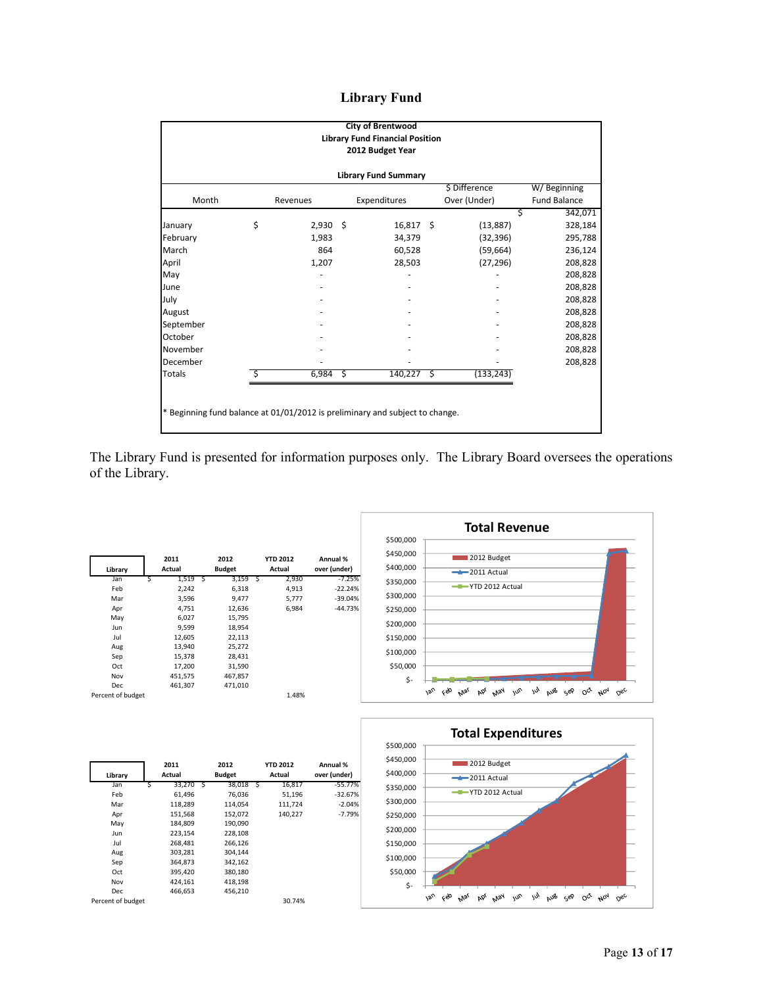## **Library Fund**

|                                                                              | <b>City of Brentwood</b><br><b>Library Fund Financial Position</b><br>2012 Budget Year |            |   |              |    |               |                     |  |  |
|------------------------------------------------------------------------------|----------------------------------------------------------------------------------------|------------|---|--------------|----|---------------|---------------------|--|--|
| <b>Library Fund Summary</b>                                                  |                                                                                        |            |   |              |    |               |                     |  |  |
|                                                                              |                                                                                        |            |   |              |    | \$ Difference | W/Beginning         |  |  |
| Month                                                                        |                                                                                        | Revenues   |   | Expenditures |    | Over (Under)  | <b>Fund Balance</b> |  |  |
|                                                                              |                                                                                        |            |   |              |    | S             | 342,071             |  |  |
| January                                                                      | \$                                                                                     | $2,930$ \$ |   | 16,817 \$    |    | (13, 887)     | 328,184             |  |  |
| February                                                                     |                                                                                        | 1,983      |   | 34,379       |    | (32, 396)     | 295,788             |  |  |
| March                                                                        |                                                                                        | 864        |   | 60,528       |    | (59, 664)     | 236,124             |  |  |
| April                                                                        |                                                                                        | 1,207      |   | 28,503       |    | (27, 296)     | 208,828             |  |  |
| May                                                                          |                                                                                        |            |   |              |    |               | 208,828             |  |  |
| June                                                                         |                                                                                        |            |   |              |    |               | 208,828             |  |  |
| July                                                                         |                                                                                        |            |   |              |    |               | 208,828             |  |  |
| August                                                                       |                                                                                        |            |   |              |    |               | 208,828             |  |  |
| September                                                                    |                                                                                        |            |   |              |    |               | 208,828             |  |  |
| October                                                                      |                                                                                        |            |   |              |    |               | 208,828             |  |  |
| November                                                                     |                                                                                        |            |   |              |    |               | 208,828             |  |  |
| December                                                                     |                                                                                        |            |   |              |    |               | 208,828             |  |  |
| <b>Totals</b>                                                                |                                                                                        | 6,984      | Ŝ | 140,227      | Ŝ. | (133, 243)    |                     |  |  |
| * Beginning fund balance at 01/01/2012 is preliminary and subject to change. |                                                                                        |            |   |              |    |               |                     |  |  |

The Library Fund is presented for information purposes only. The Library Board oversees the operations of the Library.

|                   |   | 2011    |   | 2012          |   | <b>YTD 2012</b> | Annual %     |
|-------------------|---|---------|---|---------------|---|-----------------|--------------|
| Library           |   | Actual  |   | <b>Budget</b> |   | Actual          | over (under) |
| Jan               | S | 1,519   | Ś | 3,159         | Ś | 2,930           | $-7.25%$     |
| Feb               |   | 2,242   |   | 6,318         |   | 4,913           | $-22.24%$    |
| Mar               |   | 3,596   |   | 9,477         |   | 5,777           | $-39.04%$    |
| Apr               |   | 4,751   |   | 12,636        |   | 6,984           | $-44.73%$    |
| May               |   | 6,027   |   | 15,795        |   |                 |              |
| Jun               |   | 9,599   |   | 18,954        |   |                 |              |
| Jul               |   | 12,605  |   | 22,113        |   |                 |              |
| Aug               |   | 13,940  |   | 25,272        |   |                 |              |
| Sep               |   | 15,378  |   | 28,431        |   |                 |              |
| Oct               |   | 17,200  |   | 31,590        |   |                 |              |
| Nov               |   | 451,575 |   | 467,857       |   |                 |              |
| Dec               |   | 461,307 |   | 471,010       |   |                 |              |
| Percent of budget |   |         |   |               |   | 1.48%           |              |





|                   | 2011        |   | 2012          |   | <b>YTD 2012</b> | Annual %     |
|-------------------|-------------|---|---------------|---|-----------------|--------------|
| Library           | Actual      |   | <b>Budget</b> |   | Actual          | over (under) |
| Jan               | 33,270<br>Ś | S | 38,018        | Ś | 16,817          | $-55.77%$    |
| Feb               | 61,496      |   | 76,036        |   | 51,196          | $-32.67%$    |
| Mar               | 118,289     |   | 114,054       |   | 111,724         | $-2.04%$     |
| Apr               | 151,568     |   | 152,072       |   | 140,227         | $-7.79%$     |
| May               | 184,809     |   | 190,090       |   |                 |              |
| Jun               | 223,154     |   | 228,108       |   |                 |              |
| Jul               | 268,481     |   | 266,126       |   |                 |              |
| Aug               | 303,281     |   | 304.144       |   |                 |              |
| Sep               | 364,873     |   | 342,162       |   |                 |              |
| Oct               | 395,420     |   | 380,180       |   |                 |              |
| Nov               | 424,161     |   | 418,198       |   |                 |              |
| Dec               | 466,653     |   | 456,210       |   |                 |              |
| Percent of budget |             |   |               |   | 30.74%          |              |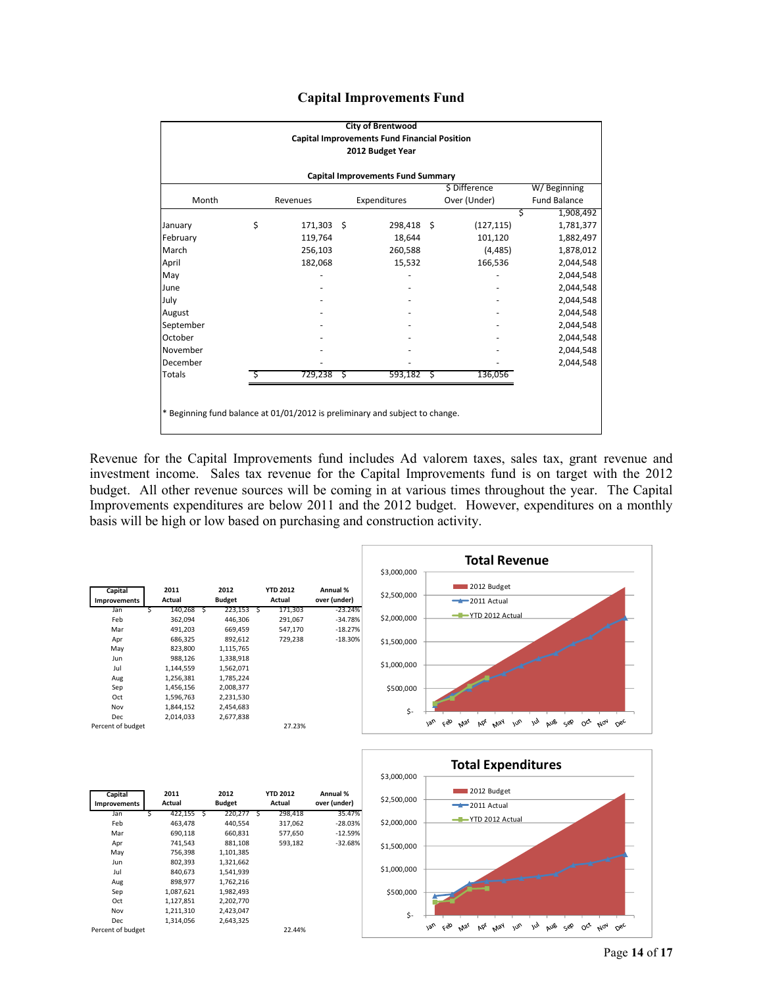|  | <b>Capital Improvements Fund</b> |  |
|--|----------------------------------|--|
|--|----------------------------------|--|

| <b>City of Brentwood</b>                                                     |    |            |    |              |      |              |   |                     |  |  |
|------------------------------------------------------------------------------|----|------------|----|--------------|------|--------------|---|---------------------|--|--|
| <b>Capital Improvements Fund Financial Position</b>                          |    |            |    |              |      |              |   |                     |  |  |
| 2012 Budget Year                                                             |    |            |    |              |      |              |   |                     |  |  |
| <b>Capital Improvements Fund Summary</b>                                     |    |            |    |              |      |              |   |                     |  |  |
| \$ Difference<br>W/Beginning                                                 |    |            |    |              |      |              |   |                     |  |  |
| Month                                                                        |    | Revenues   |    | Expenditures |      | Over (Under) |   | <b>Fund Balance</b> |  |  |
|                                                                              |    |            |    |              |      |              | Ś | 1,908,492           |  |  |
| January                                                                      | \$ | 171,303 \$ |    | 298,418 \$   |      | (127, 115)   |   | 1,781,377           |  |  |
| February                                                                     |    | 119,764    |    | 18,644       |      | 101,120      |   | 1,882,497           |  |  |
| March                                                                        |    | 256,103    |    | 260,588      |      | (4, 485)     |   | 1,878,012           |  |  |
| April                                                                        |    | 182,068    |    | 15,532       |      | 166,536      |   | 2,044,548           |  |  |
| May                                                                          |    |            |    |              |      |              |   | 2,044,548           |  |  |
| June                                                                         |    |            |    |              |      |              |   | 2,044,548           |  |  |
| July                                                                         |    |            |    |              |      |              |   | 2,044,548           |  |  |
| August                                                                       |    |            |    |              |      |              |   | 2,044,548           |  |  |
| September                                                                    |    |            |    |              |      |              |   | 2,044,548           |  |  |
| October                                                                      |    |            |    |              |      |              |   | 2,044,548           |  |  |
| November                                                                     |    |            |    |              |      |              |   | 2,044,548           |  |  |
| December                                                                     |    |            |    |              |      |              |   | 2,044,548           |  |  |
| <b>Totals</b>                                                                |    | 729,238    | ्ड | 593,182      | - \$ | 136,056      |   |                     |  |  |
|                                                                              |    |            |    |              |      |              |   |                     |  |  |
|                                                                              |    |            |    |              |      |              |   |                     |  |  |
| * Beginning fund balance at 01/01/2012 is preliminary and subject to change. |    |            |    |              |      |              |   |                     |  |  |
|                                                                              |    |            |    |              |      |              |   |                     |  |  |

Revenue for the Capital Improvements fund includes Ad valorem taxes, sales tax, grant revenue and investment income. Sales tax revenue for the Capital Improvements fund is on target with the 2012 budget. All other revenue sources will be coming in at various times throughout the year. The Capital Improvements expenditures are below 2011 and the 2012 budget. However, expenditures on a monthly basis will be high or low based on purchasing and construction activity.

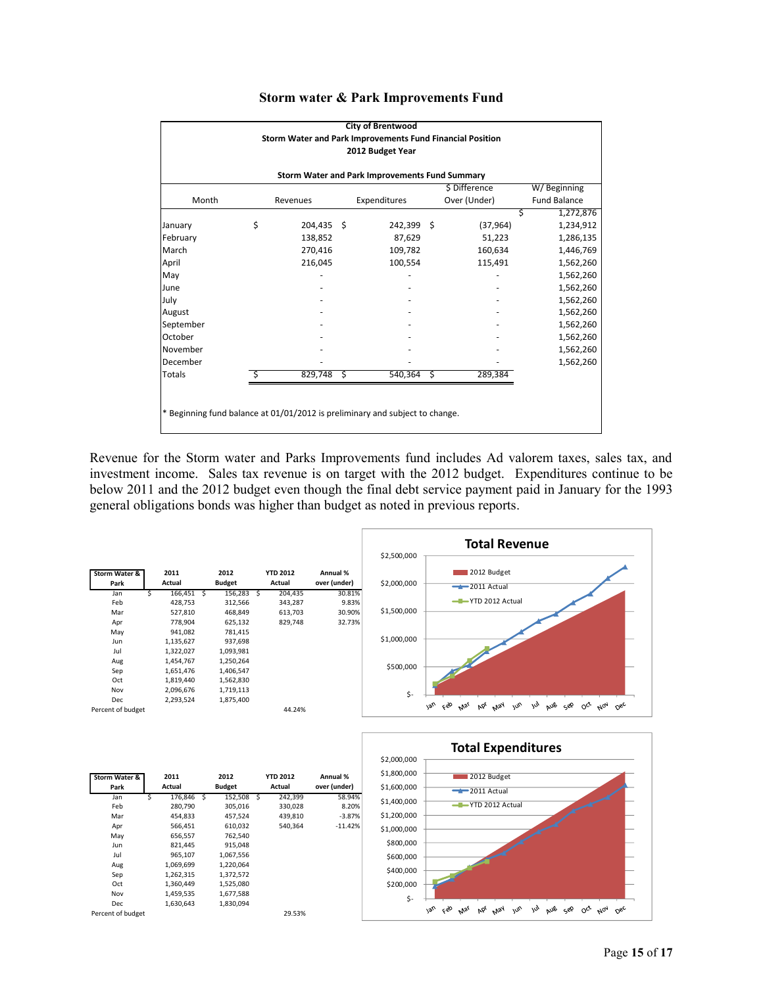| <b>City of Brentwood</b>                                                     |    |              |  |              |    |              |                     |  |  |  |
|------------------------------------------------------------------------------|----|--------------|--|--------------|----|--------------|---------------------|--|--|--|
| Storm Water and Park Improvements Fund Financial Position                    |    |              |  |              |    |              |                     |  |  |  |
| 2012 Budget Year                                                             |    |              |  |              |    |              |                     |  |  |  |
| Storm Water and Park Improvements Fund Summary                               |    |              |  |              |    |              |                     |  |  |  |
| \$ Difference<br>W/Beginning                                                 |    |              |  |              |    |              |                     |  |  |  |
| Month                                                                        |    | Revenues     |  | Expenditures |    | Over (Under) | <b>Fund Balance</b> |  |  |  |
|                                                                              |    |              |  |              |    |              | Ś<br>1,272,876      |  |  |  |
| January                                                                      | \$ | 204,435 \$   |  | 242,399 \$   |    | (37, 964)    | 1,234,912           |  |  |  |
| February                                                                     |    | 138,852      |  | 87,629       |    | 51,223       | 1,286,135           |  |  |  |
| March                                                                        |    | 270,416      |  | 109,782      |    | 160,634      | 1,446,769           |  |  |  |
| April                                                                        |    | 216,045      |  | 100,554      |    | 115,491      | 1,562,260           |  |  |  |
| May                                                                          |    |              |  |              |    |              | 1,562,260           |  |  |  |
| June                                                                         |    |              |  |              |    |              | 1,562,260           |  |  |  |
| July                                                                         |    |              |  |              |    |              | 1,562,260           |  |  |  |
| August                                                                       |    |              |  |              |    |              | 1,562,260           |  |  |  |
| September                                                                    |    |              |  |              |    |              | 1,562,260           |  |  |  |
| October                                                                      |    |              |  |              |    |              | 1,562,260           |  |  |  |
| November                                                                     |    |              |  |              |    |              | 1,562,260           |  |  |  |
| December                                                                     |    |              |  |              |    |              | 1,562,260           |  |  |  |
| <b>Totals</b>                                                                | Ś. | $829,748$ \$ |  | 540,364      | ్త | 289,384      |                     |  |  |  |
|                                                                              |    |              |  |              |    |              |                     |  |  |  |
|                                                                              |    |              |  |              |    |              |                     |  |  |  |
| * Beginning fund balance at 01/01/2012 is preliminary and subject to change. |    |              |  |              |    |              |                     |  |  |  |
|                                                                              |    |              |  |              |    |              |                     |  |  |  |

#### **Storm water & Park Improvements Fund**

Revenue for the Storm water and Parks Improvements fund includes Ad valorem taxes, sales tax, and investment income. Sales tax revenue is on target with the 2012 budget. Expenditures continue to be below 2011 and the 2012 budget even though the final debt service payment paid in January for the 1993 general obligations bonds was higher than budget as noted in previous reports.





| Storm Water & |        | 2011      |               | 2012      |    | <b>YTD 2012</b> | Annual %     |  |
|---------------|--------|-----------|---------------|-----------|----|-----------------|--------------|--|
| Park          | Actual |           | <b>Budget</b> |           |    | Actual          | over (under) |  |
| Jan           | Ś      | 176,846   | S             | 152,508   | ్వ | 242,399         | 58.94%       |  |
| Feb           |        | 280,790   |               | 305.016   |    | 330,028         | 8.20%        |  |
| Mar           |        | 454.833   |               | 457,524   |    | 439,810         | $-3.87%$     |  |
| Apr           |        | 566.451   |               | 610.032   |    | 540.364         | $-11.42%$    |  |
| May           |        | 656,557   |               | 762,540   |    |                 |              |  |
| Jun           |        | 821,445   |               | 915,048   |    |                 |              |  |
| Jul           |        | 965,107   |               | 1,067,556 |    |                 |              |  |
| Aug           |        | 1,069,699 |               | 1.220.064 |    |                 |              |  |
| Sep           |        | 1,262,315 |               | 1,372,572 |    |                 |              |  |
| Oct           |        | 1,360,449 |               | 1,525,080 |    |                 |              |  |
| Nov           |        | 1,459,535 |               | 1,677,588 |    |                 |              |  |
| Dec           |        | 1.630.643 |               | 1,830,094 |    |                 |              |  |

Percent of budget 29.53%

Page **15** of **17**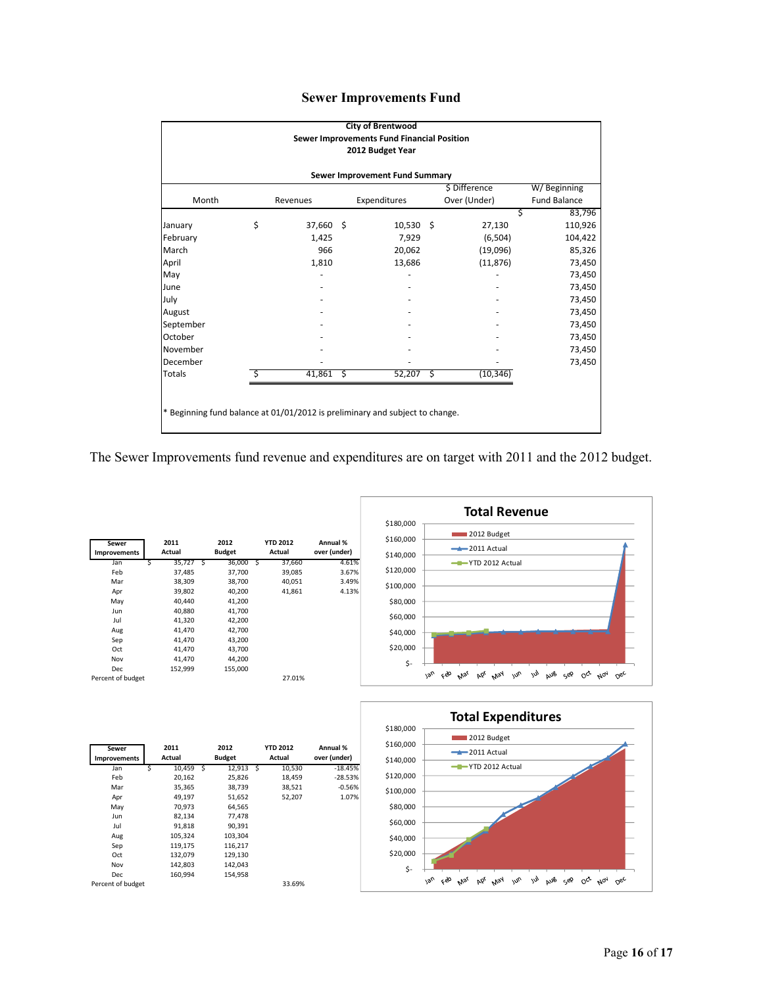|  | <b>Sewer Improvements Fund</b> |  |
|--|--------------------------------|--|
|--|--------------------------------|--|

| <b>City of Brentwood</b>                                                     |    |             |  |              |  |              |                     |  |  |  |
|------------------------------------------------------------------------------|----|-------------|--|--------------|--|--------------|---------------------|--|--|--|
| Sewer Improvements Fund Financial Position<br>2012 Budget Year               |    |             |  |              |  |              |                     |  |  |  |
| Sewer Improvement Fund Summary                                               |    |             |  |              |  |              |                     |  |  |  |
| \$ Difference<br>W/Beginning                                                 |    |             |  |              |  |              |                     |  |  |  |
| Month                                                                        |    | Revenues    |  | Expenditures |  | Over (Under) | <b>Fund Balance</b> |  |  |  |
|                                                                              |    |             |  |              |  |              | 83,796<br>\$        |  |  |  |
| January                                                                      | \$ | 37,660 \$   |  | $10,530$ \$  |  | 27,130       | 110,926             |  |  |  |
| February                                                                     |    | 1,425       |  | 7,929        |  | (6, 504)     | 104,422             |  |  |  |
| March                                                                        |    | 966         |  | 20,062       |  | (19,096)     | 85,326              |  |  |  |
| April                                                                        |    | 1,810       |  | 13,686       |  | (11, 876)    | 73,450              |  |  |  |
| May                                                                          |    |             |  |              |  |              | 73,450              |  |  |  |
| June                                                                         |    |             |  |              |  |              | 73,450              |  |  |  |
| July                                                                         |    |             |  |              |  |              | 73,450              |  |  |  |
| August                                                                       |    |             |  |              |  |              | 73,450              |  |  |  |
| September                                                                    |    |             |  |              |  |              | 73,450              |  |  |  |
| October                                                                      |    |             |  |              |  |              | 73,450              |  |  |  |
| November                                                                     |    |             |  |              |  |              | 73,450              |  |  |  |
| December                                                                     |    |             |  |              |  |              | 73,450              |  |  |  |
| Totals                                                                       | Ś  | $41,861$ \$ |  | $52,207$ \$  |  | (10, 346)    |                     |  |  |  |
|                                                                              |    |             |  |              |  |              |                     |  |  |  |
|                                                                              |    |             |  |              |  |              |                     |  |  |  |
|                                                                              |    |             |  |              |  |              |                     |  |  |  |
| * Beginning fund balance at 01/01/2012 is preliminary and subject to change. |    |             |  |              |  |              |                     |  |  |  |

The Sewer Improvements fund revenue and expenditures are on target with 2011 and the 2012 budget.







| Sewer<br><b>Improvements</b> |   | 2011<br>Actual |   | 2012<br><b>Budget</b> | <b>YTD 2012</b><br>Actual | Annual %<br>over (under) |
|------------------------------|---|----------------|---|-----------------------|---------------------------|--------------------------|
| Jan                          | S | 10,459         | Ŝ | $12,913$ \$           | 10,530                    | $-18.45%$                |
| Feb                          |   | 20,162         |   | 25,826                | 18,459                    | $-28.53%$                |
| Mar                          |   | 35,365         |   | 38,739                | 38,521                    | $-0.56%$                 |
| Apr                          |   | 49,197         |   | 51,652                | 52,207                    | 1.07%                    |
| May                          |   | 70,973         |   | 64,565                |                           |                          |
| Jun                          |   | 82,134         |   | 77,478                |                           |                          |
| Jul                          |   | 91,818         |   | 90,391                |                           |                          |
| Aug                          |   | 105,324        |   | 103.304               |                           |                          |
| Sep                          |   | 119,175        |   | 116,217               |                           |                          |
| Oct                          |   | 132,079        |   | 129,130               |                           |                          |
| Nov                          |   | 142,803        |   | 142,043               |                           |                          |
| Dec                          |   | 160,994        |   | 154,958               |                           |                          |
| Percent of budget            |   |                |   |                       | 33.69%                    |                          |